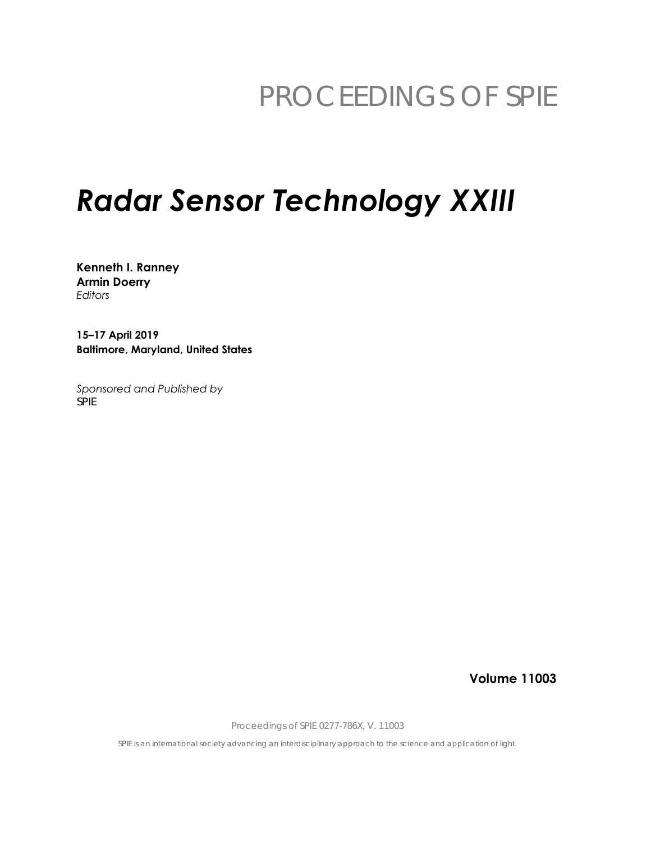# PROCEEDINGS OF SPIE

# **Radar Sensor Technology XXIII**

Kenneth I. Ranney **Armin Doerry** Editors

15-17 April 2019 **Baltimore, Maryland, United States** 

Sponsored and Published by **SPIE** 

**Volume 11003** 

Proceedings of SPIE 0277-786X, V. 11003

SPIE is an international society advancing an interdisciplinary approach to the science and application of light.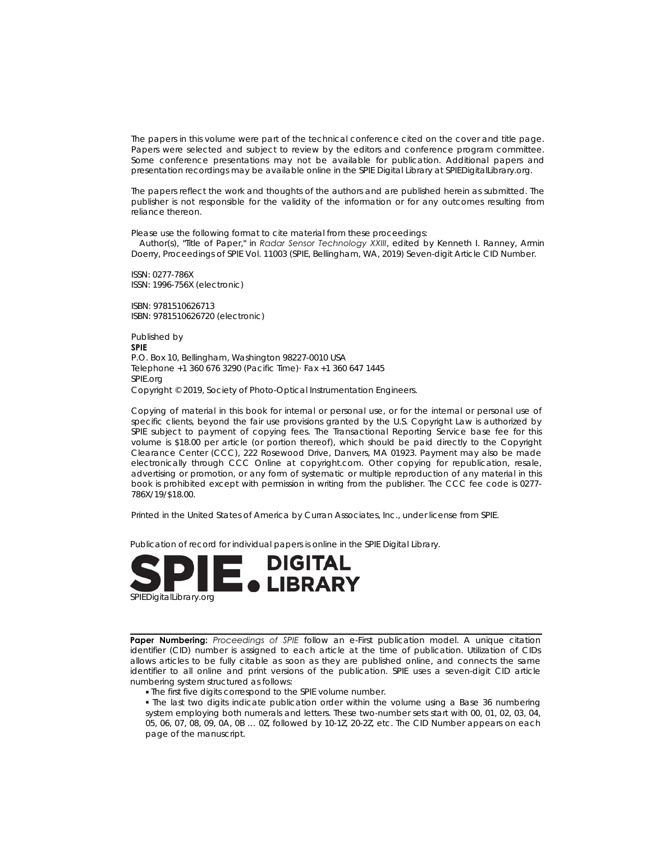The papers in this volume were part of the technical conference cited on the cover and title page. Papers were selected and subject to review by the editors and conference program committee. Some conference presentations may not be available for publication. Additional papers and presentation recordings may be available online in the SPIE Digital Library at SPIEDigitalLibrary.org.

The papers reflect the work and thoughts of the authors and are published herein as submitted. The publisher is not responsible for the validity of the information or for any outcomes resulting from reliance thereon.

Please use the following format to cite material from these proceedings:

Author(s), "Title of Paper," in Radar Sensor Technology XXIII, edited by Kenneth I. Ranney, Armin Doerry, Proceedings of SPIE Vol. 11003 (SPIE, Bellingham, WA, 2019) Seven-digit Article CID Number.

ISSN: 0277-786X ISSN: 1996-756X (electronic)

ISBN: 9781510626713 ISBN: 9781510626720 (electronic)

Published by **SPIE** P.O. Box 10, Bellingham, Washington 98227-0010 USA Telephone +1 360 676 3290 (Pacific Time) Fax +1 360 647 1445 SPIE.org Copyright © 2019, Society of Photo-Optical Instrumentation Engineers.

Copying of material in this book for internal or personal use, or for the internal or personal use of specific clients, beyond the fair use provisions granted by the U.S. Copyright Law is authorized by SPIE subject to payment of copying fees. The Transactional Reporting Service base fee for this volume is \$18.00 per article (or portion thereof), which should be paid directly to the Copyright Clearance Center (CCC), 222 Rosewood Drive, Danvers, MA 01923. Payment may also be made electronically through CCC Online at copyright.com. Other copying for republication, resale, advertising or promotion, or any form of systematic or multiple reproduction of any material in this book is prohibited except with permission in writing from the publisher. The CCC fee code is 0277-786X/19/\$18.00.

Printed in the United States of America by Curran Associates, Inc., under license from SPIE.

Publication of record for individual papers is online in the SPIE Digital Library.



Paper Numbering: Proceedings of SPIE follow an e-First publication model. A unique citation identifier (CID) number is assigned to each article at the time of publication. Utilization of CIDs allows articles to be fully citable as soon as they are published online, and connects the same identifier to all online and print versions of the publication. SPIE uses a seven-digit CID article numbering system structured as follows:

- . The first five digits correspond to the SPIE volume number.
- . The last two digits indicate publication order within the volume using a Base 36 numbering system employing both numerals and letters. These two-number sets start with 00, 01, 02, 03, 04, 05, 06, 07, 08, 09, 0A, 0B ... 0Z, followed by 10-1Z, 20-2Z, etc. The CID Number appears on each page of the manuscript.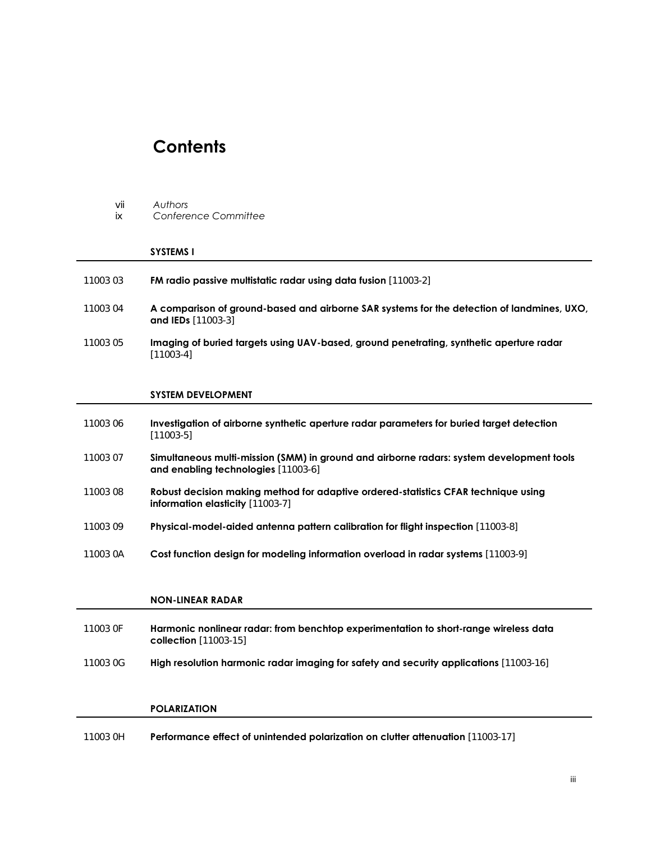## **Contents**

| Vii | Authors |
|-----|---------|
|-----|---------|

ix *Conference Committee* 

#### **SYSTEMS I**

| 11003 03 |  |  |  |  |  | <b>FM radio passive multistatic radar using data fusion</b> [11003-2] |  |
|----------|--|--|--|--|--|-----------------------------------------------------------------------|--|
|----------|--|--|--|--|--|-----------------------------------------------------------------------|--|

- 11003 04 **A comparison of ground-based and airborne SAR systems for the detection of landmines, UXO, and IEDs** [11003-3]
- 11003 05 **Imaging of buried targets using UAV-based, ground penetrating, synthetic aperture radar** [11003-4]

#### **SYSTEM DEVELOPMENT**

| 11003 06 | Investigation of airborne synthetic aperture radar parameters for buried target detection<br>[11003-5]                          |
|----------|---------------------------------------------------------------------------------------------------------------------------------|
| 11003 07 | Simultaneous multi-mission (SMM) in ground and airborne radars: system development tools<br>and enabling technologies [11003-6] |
| 11003 08 | Robust decision making method for adaptive ordered-statistics CFAR technique using<br><b>information elasticity</b> [11003-7]   |
| 11003 09 | <b>Physical-model-aided antenna pattern calibration for flight inspection</b> [11003-8]                                         |
| 11003 0A | Cost function design for modeling information overload in radar systems [11003-9]                                               |

#### **NON-LINEAR RADAR**

| 11003 OF | Harmonic nonlinear radar: from benchtop experimentation to short-range wireless data<br><b>collection</b> [11003-15] |
|----------|----------------------------------------------------------------------------------------------------------------------|
| 11003 0G | <b>High resolution harmonic radar imaging for safety and security applications</b> [11003-16]                        |

#### **POLARIZATION**

11003 0H **Performance effect of unintended polarization on clutter attenuation** [11003-17]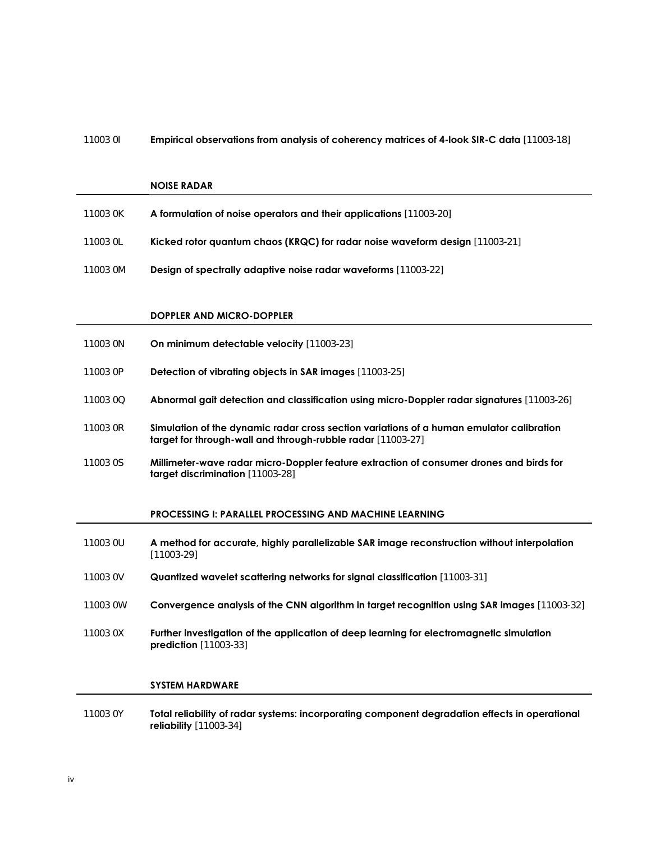#### 11003 0I **Empirical observations from analysis of coherency matrices of 4-look SIR-C data** [11003-18]

#### **NOISE RADAR**

| 11003 OK | A formulation of noise operators and their applications [11003-20]           |
|----------|------------------------------------------------------------------------------|
| 11003 OL | Kicked rotor quantum chaos (KRQC) for radar noise waveform design [11003-21] |
| 11003 OM | <b>Design of spectrally adaptive noise radar waveforms</b> [11003-22]        |

#### **DOPPLER AND MICRO-DOPPLER**

| 11003 ON | On minimum detectable velocity [11003-23] |
|----------|-------------------------------------------|
|----------|-------------------------------------------|

- 11003 0P **Detection of vibrating objects in SAR images** [11003-25]
- 11003 0Q **Abnormal gait detection and classification using micro-Doppler radar signatures** [11003-26]
- 11003 0R **Simulation of the dynamic radar cross section variations of a human emulator calibration target for through-wall and through-rubble radar** [11003-27]
- 11003 0S **Millimeter-wave radar micro-Doppler feature extraction of consumer drones and birds for target discrimination** [11003-28]

### **PROCESSING I: PARALLEL PROCESSING AND MACHINE LEARNING**

| 11003 OU | A method for accurate, highly parallelizable SAR image reconstruction without interpolation<br>[11003-29]           |
|----------|---------------------------------------------------------------------------------------------------------------------|
| 11003 0V | <b>Quantized wavelet scattering networks for signal classification</b> [11003-31]                                   |
| 11003 0W | <b>Convergence analysis of the CNN algorithm in target recognition using SAR images</b> [11003-32]                  |
| 11003 0X | Further investigation of the application of deep learning for electromagnetic simulation<br>$prediction [11003-33]$ |
|          | <b>SYSTEM HARDWARE</b>                                                                                              |

11003 0Y **Total reliability of radar systems: incorporating component degradation effects in operational reliability** [11003-34]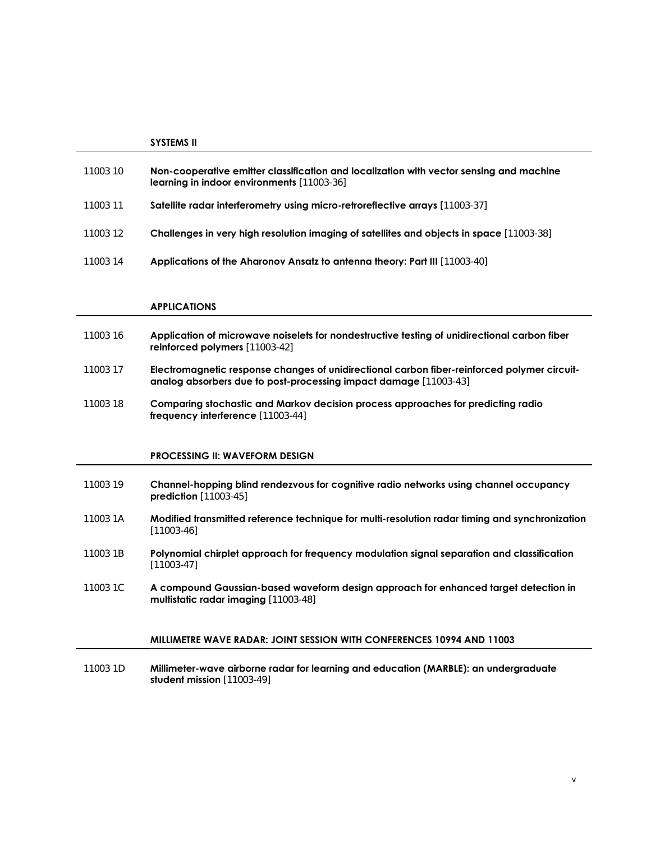|          | <b>SYSTEMS II</b>                                                                                                                            |
|----------|----------------------------------------------------------------------------------------------------------------------------------------------|
| 11003 10 | Non-cooperative emitter classification and localization with vector sensing and machine<br><b>learning in indoor environments</b> [11003-36] |
| 11003 11 | Satellite radar interferometry using micro-retroreflective arrays [11003-37]                                                                 |
| 11003 12 | <b>Challenges in very high resolution imaging of satellites and objects in space</b> [11003-38]                                              |
| 11003 14 | Applications of the Aharonov Ansatz to antenna theory: Part III [11003-40]                                                                   |
|          |                                                                                                                                              |

#### **APPLICATIONS**

- 11003 16 **Application of microwave noiselets for nondestructive testing of unidirectional carbon fiber reinforced polymers** [11003-42]
- 11003 17 **Electromagnetic response changes of unidirectional carbon fiber-reinforced polymer circuitanalog absorbers due to post-processing impact damage** [11003-43]
- 11003 18 **Comparing stochastic and Markov decision process approaches for predicting radio frequency interference** [11003-44]

#### **PROCESSING II: WAVEFORM DESIGN**

- 11003 19 **Channel-hopping blind rendezvous for cognitive radio networks using channel occupancy prediction** [11003-45]
- 11003 1A **Modified transmitted reference technique for multi-resolution radar timing and synchronization** [11003-46]
- 11003 1B **Polynomial chirplet approach for frequency modulation signal separation and classification** [11003-47]
- 11003 1C **A compound Gaussian-based waveform design approach for enhanced target detection in multistatic radar imaging** [11003-48]

#### **MILLIMETRE WAVE RADAR: JOINT SESSION WITH CONFERENCES 10994 AND 11003**

11003 1D **Millimeter-wave airborne radar for learning and education (MARBLE): an undergraduate student mission** [11003-49]